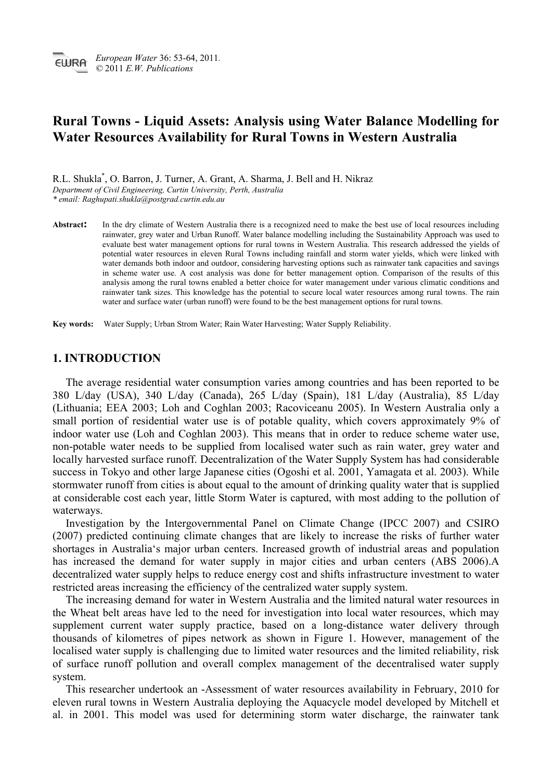# **Rural Towns - Liquid Assets: Analysis using Water Balance Modelling for Water Resources Availability for Rural Towns in Western Australia**

R.L. Shukla\* , O. Barron, J. Turner, A. Grant, A. Sharma, J. Bell and H. Nikraz *Department of Civil Engineering, Curtin University, Perth, Australia* 

*\* email: Raghupati.shukla@postgrad.curtin.edu.au* 

Abstract: In the dry climate of Western Australia there is a recognized need to make the best use of local resources including rainwater, grey water and Urban Runoff. Water balance modelling including the Sustainability Approach was used to evaluate best water management options for rural towns in Western Australia. This research addressed the yields of potential water resources in eleven Rural Towns including rainfall and storm water yields, which were linked with water demands both indoor and outdoor, considering harvesting options such as rainwater tank capacities and savings in scheme water use. A cost analysis was done for better management option. Comparison of the results of this analysis among the rural towns enabled a better choice for water management under various climatic conditions and rainwater tank sizes. This knowledge has the potential to secure local water resources among rural towns. The rain water and surface water (urban runoff) were found to be the best management options for rural towns.

**Key words:** Water Supply; Urban Strom Water; Rain Water Harvesting; Water Supply Reliability.

## **1. INTRODUCTION**

The average residential water consumption varies among countries and has been reported to be 380 L/day (USA), 340 L/day (Canada), 265 L/day (Spain), 181 L/day (Australia), 85 L/day (Lithuania; EEA 2003; Loh and Coghlan 2003; Racoviceanu 2005). In Western Australia only a small portion of residential water use is of potable quality, which covers approximately 9% of indoor water use (Loh and Coghlan 2003). This means that in order to reduce scheme water use, non-potable water needs to be supplied from localised water such as rain water, grey water and locally harvested surface runoff. Decentralization of the Water Supply System has had considerable success in Tokyo and other large Japanese cities (Ogoshi et al. 2001, Yamagata et al. 2003). While stormwater runoff from cities is about equal to the amount of drinking quality water that is supplied at considerable cost each year, little Storm Water is captured, with most adding to the pollution of waterways.

Investigation by the Intergovernmental Panel on Climate Change (IPCC 2007) and CSIRO (2007) predicted continuing climate changes that are likely to increase the risks of further water shortages in Australia's major urban centers. Increased growth of industrial areas and population has increased the demand for water supply in major cities and urban centers (ABS 2006).A decentralized water supply helps to reduce energy cost and shifts infrastructure investment to water restricted areas increasing the efficiency of the centralized water supply system.

The increasing demand for water in Western Australia and the limited natural water resources in the Wheat belt areas have led to the need for investigation into local water resources, which may supplement current water supply practice, based on a long-distance water delivery through thousands of kilometres of pipes network as shown in Figure 1. However, management of the localised water supply is challenging due to limited water resources and the limited reliability, risk of surface runoff pollution and overall complex management of the decentralised water supply system.

This researcher undertook an -Assessment of water resources availability in February, 2010 for eleven rural towns in Western Australia deploying the Aquacycle model developed by Mitchell et al. in 2001. This model was used for determining storm water discharge, the rainwater tank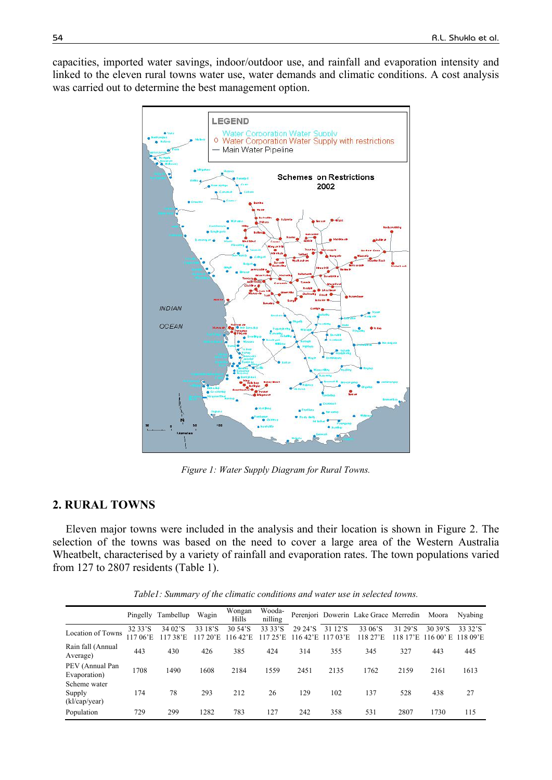capacities, imported water savings, indoor/outdoor use, and rainfall and evaporation intensity and linked to the eleven rural towns water use, water demands and climatic conditions. A cost analysis was carried out to determine the best management option.



*Figure 1: Water Supply Diagram for Rural Towns.* 

# **2. RURAL TOWNS**

Eleven major towns were included in the analysis and their location is shown in Figure 2. The selection of the towns was based on the need to cover a large area of the Western Australia Wheatbelt, characterised by a variety of rainfall and evaporation rates. The town populations varied from 127 to 2807 residents (Table 1).

*Table1: Summary of the climatic conditions and water use in selected towns.* 

|                                         |                        | Pingelly Tambellup | Wagin           | Wongan<br>Hills             | Wooda-<br>nilling   |                                  |                                   | Perenjori Dowerin Lake Grace Merredin |                        | Moora                             | Nyabing             |
|-----------------------------------------|------------------------|--------------------|-----------------|-----------------------------|---------------------|----------------------------------|-----------------------------------|---------------------------------------|------------------------|-----------------------------------|---------------------|
| Location of Towns                       | 32 33'S<br>06'E<br>117 | 34 02'S<br>38'E    | 33 18'S<br>20'E | 30 54'S<br>$1642 \text{ E}$ | 33 33'S<br>117 25'E | 29 24'S<br>$1642$ <sup>'</sup> E | 31 12'S<br>$17.03$ <sup>-</sup> E | 33 06'S<br>118 27'E                   | 31 29'S<br>17E<br>118. | 30.39'S<br>$11600$ <sup>2</sup> E | 33 32'S<br>118 09'E |
| Rain fall (Annual<br>Average)           | 443                    | 430                | 426             | 385                         | 424                 | 314                              | 355                               | 345                                   | 327                    | 443                               | 445                 |
| PEV (Annual Pan<br>Evaporation)         | 1708                   | 1490               | 1608            | 2184                        | 1559                | 2451                             | 2135                              | 1762                                  | 2159                   | 2161                              | 1613                |
| Scheme water<br>Supply<br>(kl/cap/year) | 174                    | 78                 | 293             | 212                         | 26                  | 129                              | 102                               | 137                                   | 528                    | 438                               | 27                  |
| Population                              | 729                    | 299                | 1282            | 783                         | 127                 | 242                              | 358                               | 531                                   | 2807                   | 1730                              | 115                 |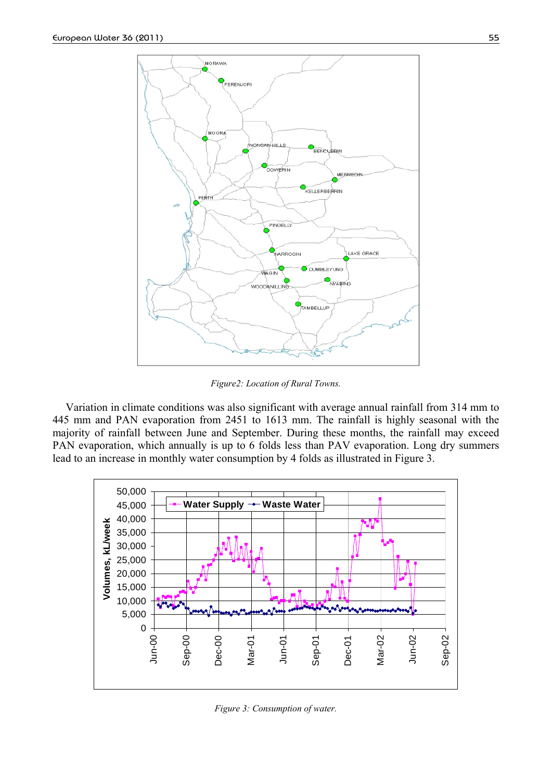

*Figure2: Location of Rural Towns.* 

Variation in climate conditions was also significant with average annual rainfall from 314 mm to 445 mm and PAN evaporation from 2451 to 1613 mm. The rainfall is highly seasonal with the majority of rainfall between June and September. During these months, the rainfall may exceed PAN evaporation, which annually is up to 6 folds less than PAV evaporation. Long dry summers lead to an increase in monthly water consumption by 4 folds as illustrated in Figure 3.



*Figure 3: Consumption of water.*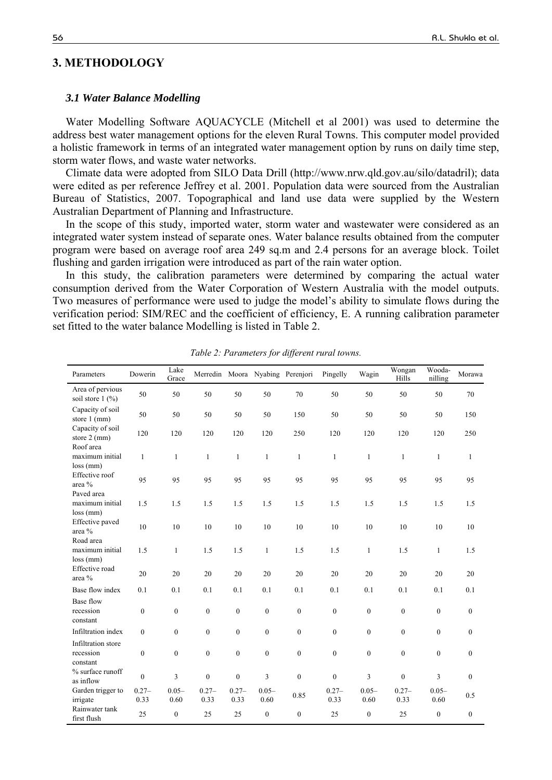# **3. METHODOLOGY**

#### *3.1 Water Balance Modelling*

Water Modelling Software AQUACYCLE (Mitchell et al 2001) was used to determine the address best water management options for the eleven Rural Towns. This computer model provided a holistic framework in terms of an integrated water management option by runs on daily time step, storm water flows, and waste water networks.

Climate data were adopted from SILO Data Drill (http://www.nrw.qld.gov.au/silo/datadril); data were edited as per reference Jeffrey et al. 2001. Population data were sourced from the Australian Bureau of Statistics, 2007. Topographical and land use data were supplied by the Western Australian Department of Planning and Infrastructure.

In the scope of this study, imported water, storm water and wastewater were considered as an integrated water system instead of separate ones. Water balance results obtained from the computer program were based on average roof area 249 sq.m and 2.4 persons for an average block. Toilet flushing and garden irrigation were introduced as part of the rain water option.

In this study, the calibration parameters were determined by comparing the actual water consumption derived from the Water Corporation of Western Australia with the model outputs. Two measures of performance were used to judge the model's ability to simulate flows during the verification period: SIM/REC and the coefficient of efficiency, E. A running calibration parameter set fitted to the water balance Modelling is listed in Table 2.

| Parameters                                        | Dowerin          | Lake<br>Grace    |                  |                  |                  | Merredin Moora Nyabing Perenjori | Pingelly         | Wagin            | Wongan<br>Hills  | Wooda-<br>nilling | Morawa           |
|---------------------------------------------------|------------------|------------------|------------------|------------------|------------------|----------------------------------|------------------|------------------|------------------|-------------------|------------------|
| Area of pervious<br>soil store $1$ $\binom{0}{0}$ | 50               | 50               | 50               | 50               | 50               | 70                               | 50               | 50               | 50               | 50                | 70               |
| Capacity of soil<br>store $1$ (mm)                | 50               | 50               | 50               | 50               | 50               | 150                              | 50               | 50               | 50               | 50                | 150              |
| Capacity of soil<br>store 2 (mm)                  | 120              | 120              | 120              | 120              | 120              | 250                              | 120              | 120              | 120              | 120               | 250              |
| Roof area<br>maximum initial<br>$loss$ (mm)       | $\mathbf{1}$     | $\mathbf{1}$     | 1                | $\mathbf{1}$     | $\mathbf{1}$     | $\mathbf{1}$                     | $\mathbf{1}$     | $\mathbf{1}$     | $\mathbf{1}$     | $\mathbf{1}$      | $\mathbf{1}$     |
| Effective roof<br>area %                          | 95               | 95               | 95               | 95               | 95               | 95                               | 95               | 95               | 95               | 95                | 95               |
| Paved area<br>maximum initial<br>$loss$ (mm)      | 1.5              | 1.5              | 1.5              | 1.5              | 1.5              | 1.5                              | 1.5              | 1.5              | 1.5              | 1.5               | 1.5              |
| Effective paved<br>area %                         | 10               | 10               | 10               | 10               | 10               | 10                               | 10               | 10               | 10               | 10                | 10               |
| Road area<br>maximum initial<br>$loss$ (mm)       | 1.5              | $\mathbf{1}$     | 1.5              | 1.5              | $\mathbf{1}$     | 1.5                              | 1.5              | $\mathbf{1}$     | 1.5              | $\mathbf{1}$      | 1.5              |
| Effective road<br>area %                          | 20               | 20               | 20               | 20               | 20               | 20                               | 20               | 20               | 20               | 20                | 20               |
| Base flow index                                   | 0.1              | 0.1              | 0.1              | 0.1              | 0.1              | 0.1                              | 0.1              | 0.1              | 0.1              | 0.1               | 0.1              |
| Base flow<br>recession<br>constant                | $\boldsymbol{0}$ | $\mathbf{0}$     | $\mathbf{0}$     | $\boldsymbol{0}$ | $\overline{0}$   | $\mathbf{0}$                     | $\mathbf{0}$     | $\boldsymbol{0}$ | $\boldsymbol{0}$ | $\boldsymbol{0}$  | $\boldsymbol{0}$ |
| Infiltration index                                | $\theta$         | $\theta$         | $\mathbf{0}$     | $\overline{0}$   | $\Omega$         | $\theta$                         | $\mathbf{0}$     | $\mathbf{0}$     | $\mathbf{0}$     | $\boldsymbol{0}$  | $\overline{0}$   |
| Infiltration store<br>recession<br>constant       | $\boldsymbol{0}$ | $\boldsymbol{0}$ | $\boldsymbol{0}$ | $\boldsymbol{0}$ | $\boldsymbol{0}$ | $\boldsymbol{0}$                 | $\boldsymbol{0}$ | $\boldsymbol{0}$ | $\boldsymbol{0}$ | $\boldsymbol{0}$  | $\boldsymbol{0}$ |
| % surface runoff<br>as inflow                     | $\mathbf{0}$     | 3                | $\boldsymbol{0}$ | $\overline{0}$   | 3                | $\mathbf{0}$                     | $\mathbf{0}$     | 3                | $\boldsymbol{0}$ | 3                 | $\overline{0}$   |
| Garden trigger to<br>irrigate                     | $0.27 -$<br>0.33 | $0.05 -$<br>0.60 | $0.27 -$<br>0.33 | $0.27 -$<br>0.33 | $0.05 -$<br>0.60 | 0.85                             | $0.27 -$<br>0.33 | $0.05 -$<br>0.60 | $0.27 -$<br>0.33 | $0.05 -$<br>0.60  | 0.5              |
| Rainwater tank<br>first flush                     | 25               | $\mathbf{0}$     | 25               | 25               | $\mathbf{0}$     | $\boldsymbol{0}$                 | 25               | $\boldsymbol{0}$ | 25               | $\mathbf{0}$      | $\boldsymbol{0}$ |

*Table 2: Parameters for different rural towns.*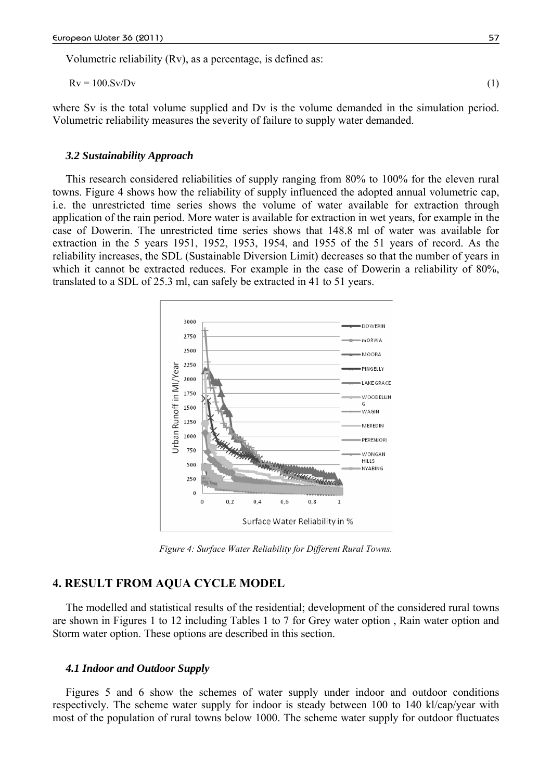Volumetric reliability (Rv), as a percentage, is defined as:

$$
Rv = 100.Sv/Dv \tag{1}
$$

where Sv is the total volume supplied and Dv is the volume demanded in the simulation period. Volumetric reliability measures the severity of failure to supply water demanded.

#### *3.2 Sustainability Approach*

This research considered reliabilities of supply ranging from 80% to 100% for the eleven rural towns. Figure 4 shows how the reliability of supply influenced the adopted annual volumetric cap, i.e. the unrestricted time series shows the volume of water available for extraction through application of the rain period. More water is available for extraction in wet years, for example in the case of Dowerin. The unrestricted time series shows that 148.8 ml of water was available for extraction in the 5 years 1951, 1952, 1953, 1954, and 1955 of the 51 years of record. As the reliability increases, the SDL (Sustainable Diversion Limit) decreases so that the number of years in which it cannot be extracted reduces. For example in the case of Dowerin a reliability of 80%, translated to a SDL of 25.3 ml, can safely be extracted in 41 to 51 years.



*Figure 4: Surface Water Reliability for Different Rural Towns.* 

# **4. RESULT FROM AQUA CYCLE MODEL**

The modelled and statistical results of the residential; development of the considered rural towns are shown in Figures 1 to 12 including Tables 1 to 7 for Grey water option , Rain water option and Storm water option. These options are described in this section.

#### *4.1 Indoor and Outdoor Supply*

Figures 5 and 6 show the schemes of water supply under indoor and outdoor conditions respectively. The scheme water supply for indoor is steady between 100 to 140 kl/cap/year with most of the population of rural towns below 1000. The scheme water supply for outdoor fluctuates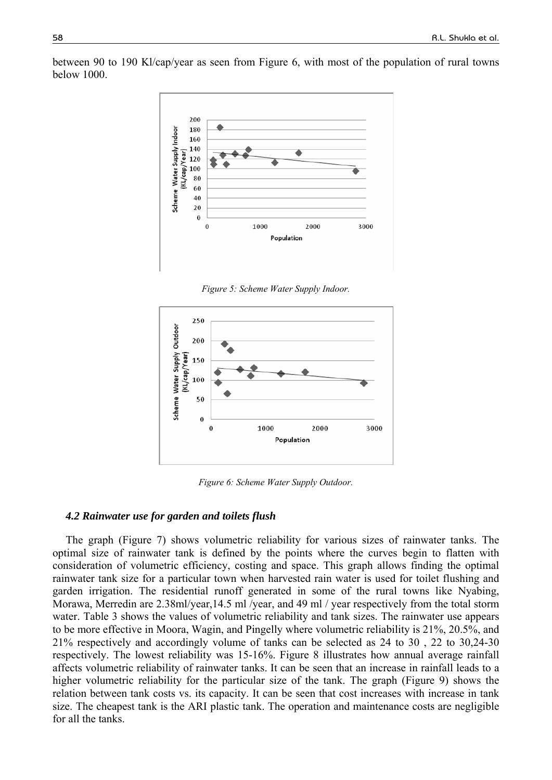

between 90 to 190 Kl/cap/year as seen from Figure 6, with most of the population of rural towns below 1000.

*Figure 5: Scheme Water Supply Indoor.* 



*Figure 6: Scheme Water Supply Outdoor.* 

#### *4.2 Rainwater use for garden and toilets flush*

The graph (Figure 7) shows volumetric reliability for various sizes of rainwater tanks. The optimal size of rainwater tank is defined by the points where the curves begin to flatten with consideration of volumetric efficiency, costing and space. This graph allows finding the optimal rainwater tank size for a particular town when harvested rain water is used for toilet flushing and garden irrigation. The residential runoff generated in some of the rural towns like Nyabing, Morawa, Merredin are 2.38ml/year,14.5 ml /year, and 49 ml / year respectively from the total storm water. Table 3 shows the values of volumetric reliability and tank sizes. The rainwater use appears to be more effective in Moora, Wagin, and Pingelly where volumetric reliability is 21%, 20.5%, and 21% respectively and accordingly volume of tanks can be selected as 24 to 30 , 22 to 30,24-30 respectively. The lowest reliability was 15-16%. Figure 8 illustrates how annual average rainfall affects volumetric reliability of rainwater tanks. It can be seen that an increase in rainfall leads to a higher volumetric reliability for the particular size of the tank. The graph (Figure 9) shows the relation between tank costs vs. its capacity. It can be seen that cost increases with increase in tank size. The cheapest tank is the ARI plastic tank. The operation and maintenance costs are negligible for all the tanks.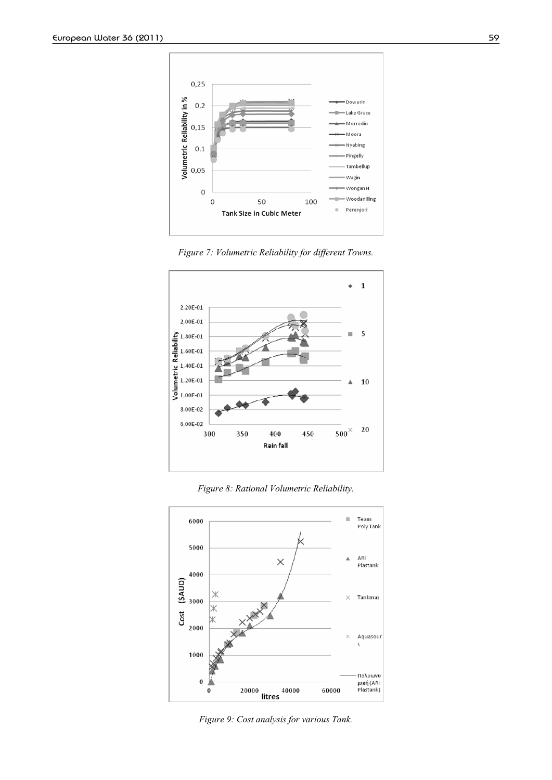

*Figure 7: Volumetric Reliability for different Towns.* 



*Figure 8: Rational Volumetric Reliability.* 



*Figure 9: Cost analysis for various Tank.*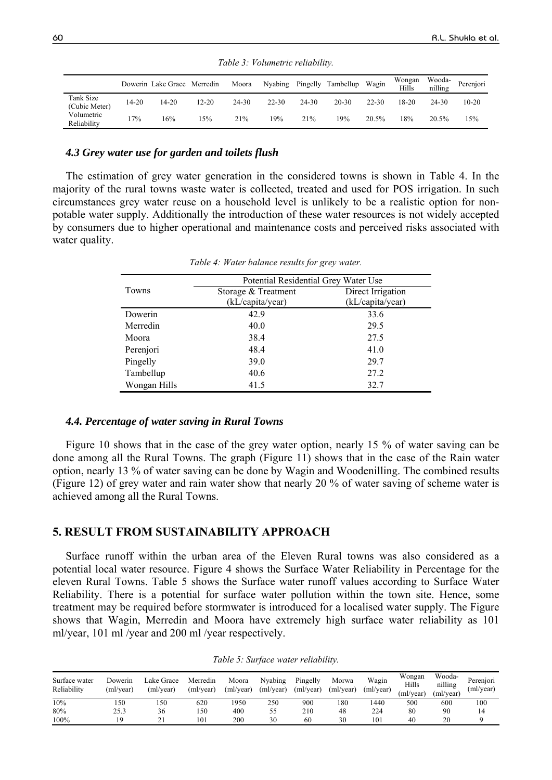|                            |       | Dowerin Lake Grace Merredin |           | Moora | Nyabing   |       | Pingelly Tambellup | Wagin     | Wongan<br>Hills | Wooda-<br>nilling | Perenjori |
|----------------------------|-------|-----------------------------|-----------|-------|-----------|-------|--------------------|-----------|-----------------|-------------------|-----------|
| Tank Size<br>(Cubic Meter) | 14-20 | 14-20                       | $12 - 20$ | 24-30 | $22 - 30$ | 24-30 | $20 - 30$          | $22 - 30$ | 18-20           | 24-30             | $10 - 20$ |
| Volumetric<br>Reliability  | 7%    | 16%                         | l 5%      | 21%   | 19%       | 21%   | 19%                | 20.5%     | 18%             | 20.5%             | 15%       |

*Table 3: Volumetric reliability.* 

## *4.3 Grey water use for garden and toilets flush*

The estimation of grey water generation in the considered towns is shown in Table 4. In the majority of the rural towns waste water is collected, treated and used for POS irrigation. In such circumstances grey water reuse on a household level is unlikely to be a realistic option for nonpotable water supply. Additionally the introduction of these water resources is not widely accepted by consumers due to higher operational and maintenance costs and perceived risks associated with water quality.

|              | Potential Residential Grey Water Use |                   |
|--------------|--------------------------------------|-------------------|
| Towns        | Storage & Treatment                  | Direct Irrigation |
|              | (kL/capita/year)                     | (kL/capita/year)  |
| Dowerin      | 42.9                                 | 33.6              |
| Merredin     | 40.0                                 | 29.5              |
| Moora        | 38.4                                 | 27.5              |
| Perenjori    | 48.4                                 | 41.0              |
| Pingelly     | 39.0                                 | 29.7              |
| Tambellup    | 40.6                                 | 27.2              |
| Wongan Hills | 41.5                                 | 32.7              |
|              |                                      |                   |

*Table 4: Water balance results for grey water.* 

### *4.4. Percentage of water saving in Rural Towns*

Figure 10 shows that in the case of the grey water option, nearly 15 % of water saving can be done among all the Rural Towns. The graph (Figure 11) shows that in the case of the Rain water option, nearly 13 % of water saving can be done by Wagin and Woodenilling. The combined results (Figure 12) of grey water and rain water show that nearly 20 % of water saving of scheme water is achieved among all the Rural Towns.

# **5. RESULT FROM SUSTAINABILITY APPROACH**

Surface runoff within the urban area of the Eleven Rural towns was also considered as a potential local water resource. Figure 4 shows the Surface Water Reliability in Percentage for the eleven Rural Towns. Table 5 shows the Surface water runoff values according to Surface Water Reliability. There is a potential for surface water pollution within the town site. Hence, some treatment may be required before stormwater is introduced for a localised water supply. The Figure shows that Wagin, Merredin and Moora have extremely high surface water reliability as 101 ml/year, 101 ml /year and 200 ml /year respectively.

| Surface water<br>Reliability | Dowerin<br>(ml/year) | Lake Grace<br>(ml/year) | Merredin<br>(ml/year) | Moora<br>(m)/year | Nyabing<br>(ml/year) | Pingelly<br>(m)/year) | Morwa<br>(ml/year) | Wagin<br>(ml/year) | Wongan<br>Hills<br>(m)/year | Wooda-<br>nilling<br>(ml/year) | Perenjori<br>(ml/year) |
|------------------------------|----------------------|-------------------------|-----------------------|-------------------|----------------------|-----------------------|--------------------|--------------------|-----------------------------|--------------------------------|------------------------|
| 10%                          | 150                  | l 50                    | 620                   | 1950              | 250                  | 900                   | 180                | 440                | 500                         | 600                            | 100                    |
| 80%                          | 25.3                 | 36                      | 150                   | 400               |                      | 210                   | 48                 | 224                | 80                          | 90                             | 14                     |
| 100%                         | 1 Q                  | ኅ 1                     | 101                   | 200               | 30                   | 60                    | 30                 | 101                | 40                          | 20                             |                        |

*Table 5: Surface water reliability.*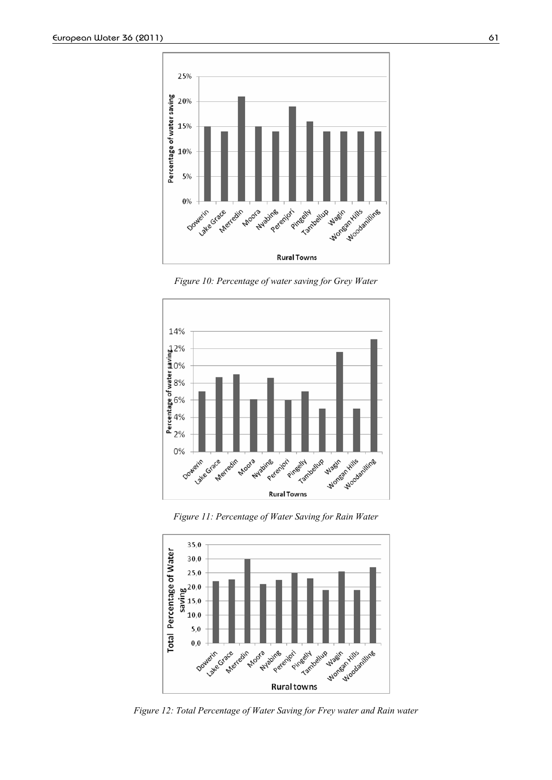

*Figure 10: Percentage of water saving for Grey Water* 



*Figure 11: Percentage of Water Saving for Rain Water* 



*Figure 12: Total Percentage of Water Saving for Frey water and Rain water*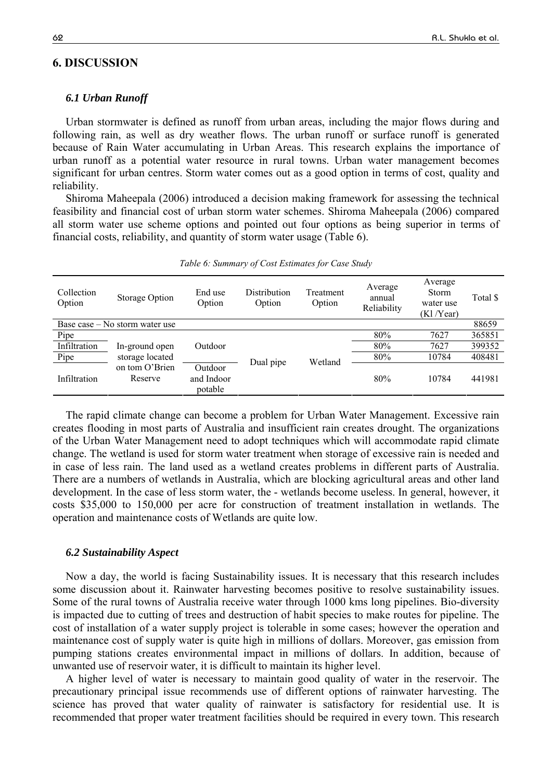## **6. DISCUSSION**

### *6.1 Urban Runoff*

Urban stormwater is defined as runoff from urban areas, including the major flows during and following rain, as well as dry weather flows. The urban runoff or surface runoff is generated because of Rain Water accumulating in Urban Areas. This research explains the importance of urban runoff as a potential water resource in rural towns. Urban water management becomes significant for urban centres. Storm water comes out as a good option in terms of cost, quality and reliability.

Shiroma Maheepala (2006) introduced a decision making framework for assessing the technical feasibility and financial cost of urban storm water schemes. Shiroma Maheepala (2006) compared all storm water use scheme options and pointed out four options as being superior in terms of financial costs, reliability, and quantity of storm water usage (Table 6).

| Collection<br>Option | Storage Option                                     | End use<br>Option | Distribution<br>Option | Treatment<br>Option | Average<br>annual<br>Reliability | Average<br><b>Storm</b><br>water use<br>(Kl/Vear) | Total \$ |
|----------------------|----------------------------------------------------|-------------------|------------------------|---------------------|----------------------------------|---------------------------------------------------|----------|
|                      | Base case – No storm water use                     |                   |                        |                     |                                  |                                                   | 88659    |
| Pipe                 |                                                    |                   |                        |                     | 80%                              | 7627                                              | 365851   |
| Infiltration         | In-ground open                                     | Outdoor           |                        |                     | 80%                              | 7627                                              | 399352   |
| Pipe                 | storage located                                    |                   |                        | Wetland             | 80%                              | 10784                                             | 408481   |
| Infiltration         | on tom O'Brien<br>Outdoor<br>and Indoor<br>Reserve |                   | Dual pipe              |                     | 80%                              | 10784                                             | 441981   |

*Table 6: Summary of Cost Estimates for Case Study* 

The rapid climate change can become a problem for Urban Water Management. Excessive rain creates flooding in most parts of Australia and insufficient rain creates drought. The organizations of the Urban Water Management need to adopt techniques which will accommodate rapid climate change. The wetland is used for storm water treatment when storage of excessive rain is needed and in case of less rain. The land used as a wetland creates problems in different parts of Australia. There are a numbers of wetlands in Australia, which are blocking agricultural areas and other land development. In the case of less storm water, the - wetlands become useless. In general, however, it costs \$35,000 to 150,000 per acre for construction of treatment installation in wetlands. The operation and maintenance costs of Wetlands are quite low.

### *6.2 Sustainability Aspect*

Now a day, the world is facing Sustainability issues. It is necessary that this research includes some discussion about it. Rainwater harvesting becomes positive to resolve sustainability issues. Some of the rural towns of Australia receive water through 1000 kms long pipelines. Bio-diversity is impacted due to cutting of trees and destruction of habit species to make routes for pipeline. The cost of installation of a water supply project is tolerable in some cases; however the operation and maintenance cost of supply water is quite high in millions of dollars. Moreover, gas emission from pumping stations creates environmental impact in millions of dollars. In addition, because of unwanted use of reservoir water, it is difficult to maintain its higher level.

A higher level of water is necessary to maintain good quality of water in the reservoir. The precautionary principal issue recommends use of different options of rainwater harvesting. The science has proved that water quality of rainwater is satisfactory for residential use. It is recommended that proper water treatment facilities should be required in every town. This research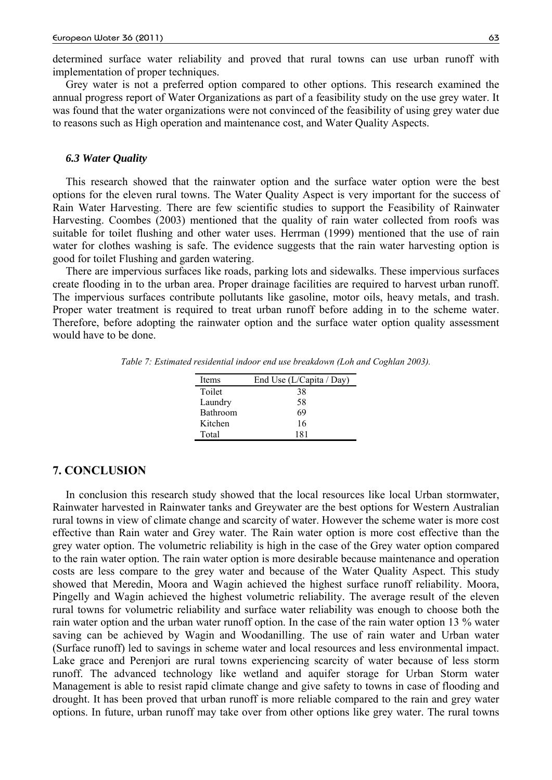determined surface water reliability and proved that rural towns can use urban runoff with implementation of proper techniques.

Grey water is not a preferred option compared to other options. This research examined the annual progress report of Water Organizations as part of a feasibility study on the use grey water. It was found that the water organizations were not convinced of the feasibility of using grey water due to reasons such as High operation and maintenance cost, and Water Quality Aspects.

#### *6.3 Water Quality*

This research showed that the rainwater option and the surface water option were the best options for the eleven rural towns. The Water Quality Aspect is very important for the success of Rain Water Harvesting. There are few scientific studies to support the Feasibility of Rainwater Harvesting. Coombes (2003) mentioned that the quality of rain water collected from roofs was suitable for toilet flushing and other water uses. Herrman (1999) mentioned that the use of rain water for clothes washing is safe. The evidence suggests that the rain water harvesting option is good for toilet Flushing and garden watering.

There are impervious surfaces like roads, parking lots and sidewalks. These impervious surfaces create flooding in to the urban area. Proper drainage facilities are required to harvest urban runoff. The impervious surfaces contribute pollutants like gasoline, motor oils, heavy metals, and trash. Proper water treatment is required to treat urban runoff before adding in to the scheme water. Therefore, before adopting the rainwater option and the surface water option quality assessment would have to be done.

*Table 7: Estimated residential indoor end use breakdown (Loh and Coghlan 2003).* 

| Items    | End Use (L/Capita / Day) |
|----------|--------------------------|
| Toilet   | 38                       |
| Laundry  | 58                       |
| Bathroom | 69                       |
| Kitchen  | 16                       |
| Total    | 181                      |

#### **7. CONCLUSION**

In conclusion this research study showed that the local resources like local Urban stormwater, Rainwater harvested in Rainwater tanks and Greywater are the best options for Western Australian rural towns in view of climate change and scarcity of water. However the scheme water is more cost effective than Rain water and Grey water. The Rain water option is more cost effective than the grey water option. The volumetric reliability is high in the case of the Grey water option compared to the rain water option. The rain water option is more desirable because maintenance and operation costs are less compare to the grey water and because of the Water Quality Aspect. This study showed that Meredin, Moora and Wagin achieved the highest surface runoff reliability. Moora, Pingelly and Wagin achieved the highest volumetric reliability. The average result of the eleven rural towns for volumetric reliability and surface water reliability was enough to choose both the rain water option and the urban water runoff option. In the case of the rain water option 13 % water saving can be achieved by Wagin and Woodanilling. The use of rain water and Urban water (Surface runoff) led to savings in scheme water and local resources and less environmental impact. Lake grace and Perenjori are rural towns experiencing scarcity of water because of less storm runoff. The advanced technology like wetland and aquifer storage for Urban Storm water Management is able to resist rapid climate change and give safety to towns in case of flooding and drought. It has been proved that urban runoff is more reliable compared to the rain and grey water options. In future, urban runoff may take over from other options like grey water. The rural towns